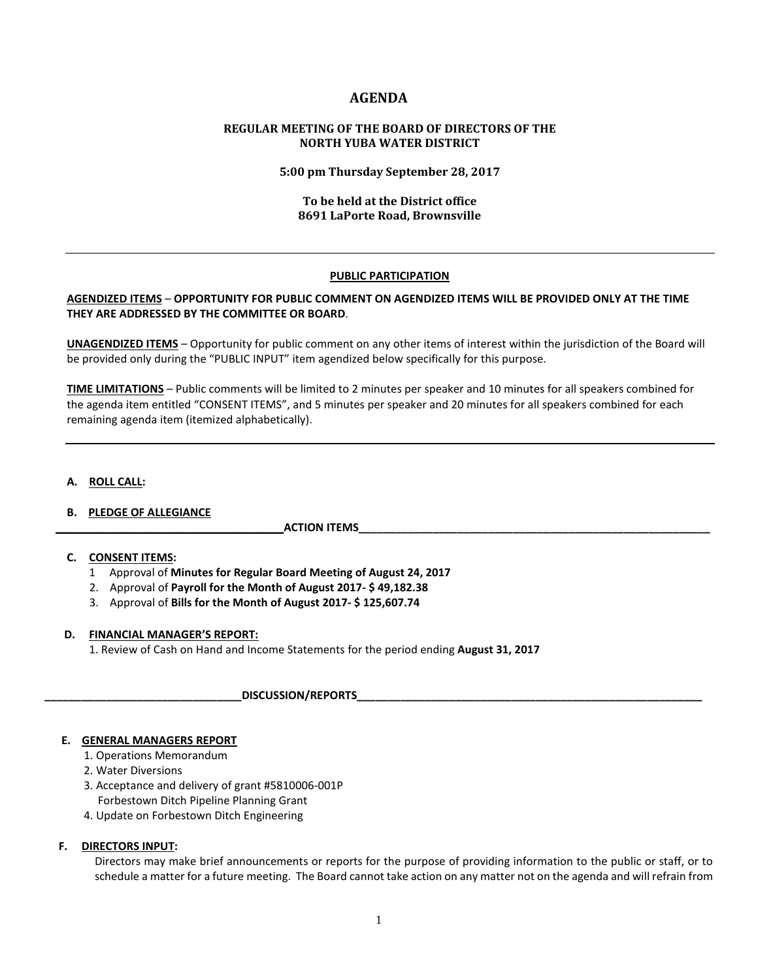# **AGENDA**

## **REGULAR MEETING OF THE BOARD OF DIRECTORS OF THE NORTH YUBA WATER DISTRICT**

#### **5:00 pm Thursday September 28, 2017**

### **To be held at the District office 8691 LaPorte Road, Brownsville**

### **PUBLIC PARTICIPATION**

### **AGENDIZED ITEMS** – **OPPORTUNITY FOR PUBLIC COMMENT ON AGENDIZED ITEMS WILL BE PROVIDED ONLY AT THE TIME THEY ARE ADDRESSED BY THE COMMITTEE OR BOARD**.

**UNAGENDIZED ITEMS** – Opportunity for public comment on any other items of interest within the jurisdiction of the Board will be provided only during the "PUBLIC INPUT" item agendized below specifically for this purpose.

**TIME LIMITATIONS** – Public comments will be limited to 2 minutes per speaker and 10 minutes for all speakers combined for the agenda item entitled "CONSENT ITEMS", and 5 minutes per speaker and 20 minutes for all speakers combined for each remaining agenda item (itemized alphabetically).

### **A. ROLL CALL:**

### **B. PLEDGE OF ALLEGIANCE**

 **\_\_\_\_\_\_\_\_\_\_\_\_\_\_\_\_\_\_\_\_\_\_\_\_\_\_\_\_\_\_\_\_\_\_\_\_\_ACTION ITEMS\_\_\_\_\_\_\_\_\_\_\_\_\_\_\_\_\_\_\_\_\_\_\_\_\_\_\_\_\_\_\_\_\_\_\_\_\_\_\_\_\_\_\_\_\_\_\_\_\_\_\_\_\_\_\_\_\_**

## **C. CONSENT ITEMS:**

- 1 Approval of **Minutes for Regular Board Meeting of August 24, 2017**
- 2. Approval of **Payroll for the Month of August 2017- \$ 49,182.38**
- 3. Approval of **Bills for the Month of August 2017- \$ 125,607.74**

### **D. FINANCIAL MANAGER'S REPORT:**

1. Review of Cash on Hand and Income Statements for the period ending **August 31, 2017**

**\_\_\_\_\_\_\_\_\_\_\_\_\_\_\_\_\_\_\_\_\_\_\_\_\_\_\_\_\_\_\_\_DISCUSSION/REPORTS\_\_\_\_\_\_\_\_\_\_\_\_\_\_\_\_\_\_\_\_\_\_\_\_\_\_\_\_\_\_\_\_\_\_\_\_\_\_\_\_\_\_\_\_\_\_\_\_\_\_\_\_\_\_\_\_** 

### **E. GENERAL MANAGERS REPORT**

- 1. Operations Memorandum
- 2. Water Diversions
- 3. Acceptance and delivery of grant #5810006-001P Forbestown Ditch Pipeline Planning Grant
- 4. Update on Forbestown Ditch Engineering

### **F. DIRECTORS INPUT:**

Directors may make brief announcements or reports for the purpose of providing information to the public or staff, or to schedule a matter for a future meeting. The Board cannot take action on any matter not on the agenda and will refrain from